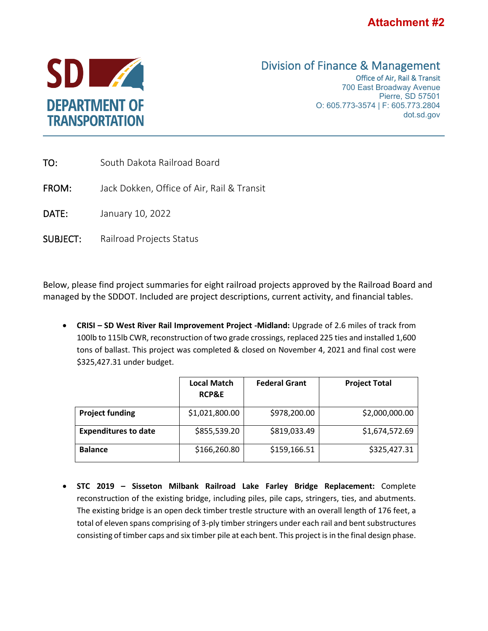



## Division of Finance & Management<br>Office of Air, Rail & Transit

700 East Broadway Avenue Pierre, SD 57501 O: 605.773-3574 | F: 605.773.2804 dot.sd.gov

| TO:             | South Dakota Railroad Board                |
|-----------------|--------------------------------------------|
| FROM:           | Jack Dokken, Office of Air, Rail & Transit |
| DATE:           | January 10, 2022                           |
| <b>SUBJECT:</b> | Railroad Projects Status                   |
|                 |                                            |

Below, please find project summaries for eight railroad projects approved by the Railroad Board and managed by the SDDOT. Included are project descriptions, current activity, and financial tables.

• **CRISI – SD West River Rail Improvement Project -Midland:** Upgrade of 2.6 miles of track from 100lb to 115lb CWR, reconstruction of two grade crossings, replaced 225 ties and installed 1,600 tons of ballast. This project was completed & closed on November 4, 2021 and final cost were \$325,427.31 under budget.

|                             | <b>Local Match</b><br><b>RCP&amp;E</b> | <b>Federal Grant</b> | <b>Project Total</b> |
|-----------------------------|----------------------------------------|----------------------|----------------------|
| <b>Project funding</b>      | \$1,021,800.00                         | \$978,200.00         | \$2,000,000.00       |
| <b>Expenditures to date</b> | \$855,539.20                           | \$819,033.49         | \$1,674,572.69       |
| <b>Balance</b>              | \$166,260.80                           | \$159,166.51         | \$325,427.31         |

• **STC 2019 – Sisseton Milbank Railroad Lake Farley Bridge Replacement:** Complete reconstruction of the existing bridge, including piles, pile caps, stringers, ties, and abutments. The existing bridge is an open deck timber trestle structure with an overall length of 176 feet, a total of eleven spans comprising of 3-ply timber stringers under each rail and bent substructures consisting of timber caps and six timber pile at each bent. This project is in the final design phase.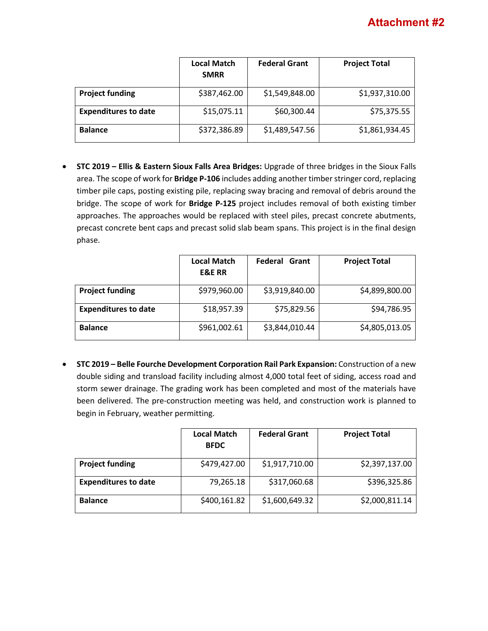|                             | <b>Local Match</b><br><b>SMRR</b> | <b>Federal Grant</b> | <b>Project Total</b> |
|-----------------------------|-----------------------------------|----------------------|----------------------|
| <b>Project funding</b>      | \$387,462.00                      | \$1,549,848.00       | \$1,937,310.00       |
| <b>Expenditures to date</b> | \$15,075.11                       | \$60,300.44          | \$75,375.55          |
| <b>Balance</b>              | \$372,386.89                      | \$1,489,547.56       | \$1,861,934.45       |

• **STC 2019 – Ellis & Eastern Sioux Falls Area Bridges:** Upgrade of three bridges in the Sioux Falls area. The scope of work for **Bridge P-106** includes adding another timber stringer cord, replacing timber pile caps, posting existing pile, replacing sway bracing and removal of debris around the bridge. The scope of work for **Bridge P-125** project includes removal of both existing timber approaches. The approaches would be replaced with steel piles, precast concrete abutments, precast concrete bent caps and precast solid slab beam spans. This project is in the final design phase.

|                             | <b>Local Match</b><br><b>E&amp;E RR</b> | <b>Federal Grant</b> | <b>Project Total</b> |
|-----------------------------|-----------------------------------------|----------------------|----------------------|
| <b>Project funding</b>      | \$979,960.00                            | \$3,919,840.00       | \$4,899,800.00       |
| <b>Expenditures to date</b> | \$18,957.39                             | \$75,829.56          | \$94,786.95          |
| <b>Balance</b>              | \$961,002.61                            | \$3,844,010.44       | \$4,805,013.05       |

• **STC 2019 – Belle Fourche Development Corporation Rail Park Expansion:** Construction of a new double siding and transload facility including almost 4,000 total feet of siding, access road and storm sewer drainage. The grading work has been completed and most of the materials have been delivered. The pre-construction meeting was held, and construction work is planned to begin in February, weather permitting.

|                             | <b>Local Match</b><br><b>BFDC</b> | <b>Federal Grant</b> | <b>Project Total</b> |
|-----------------------------|-----------------------------------|----------------------|----------------------|
| <b>Project funding</b>      | \$479,427.00                      | \$1,917,710.00       | \$2,397,137.00       |
| <b>Expenditures to date</b> | 79,265.18                         | \$317,060.68         | \$396,325.86         |
| <b>Balance</b>              | \$400,161.82                      | \$1,600,649.32       | \$2,000,811.14       |